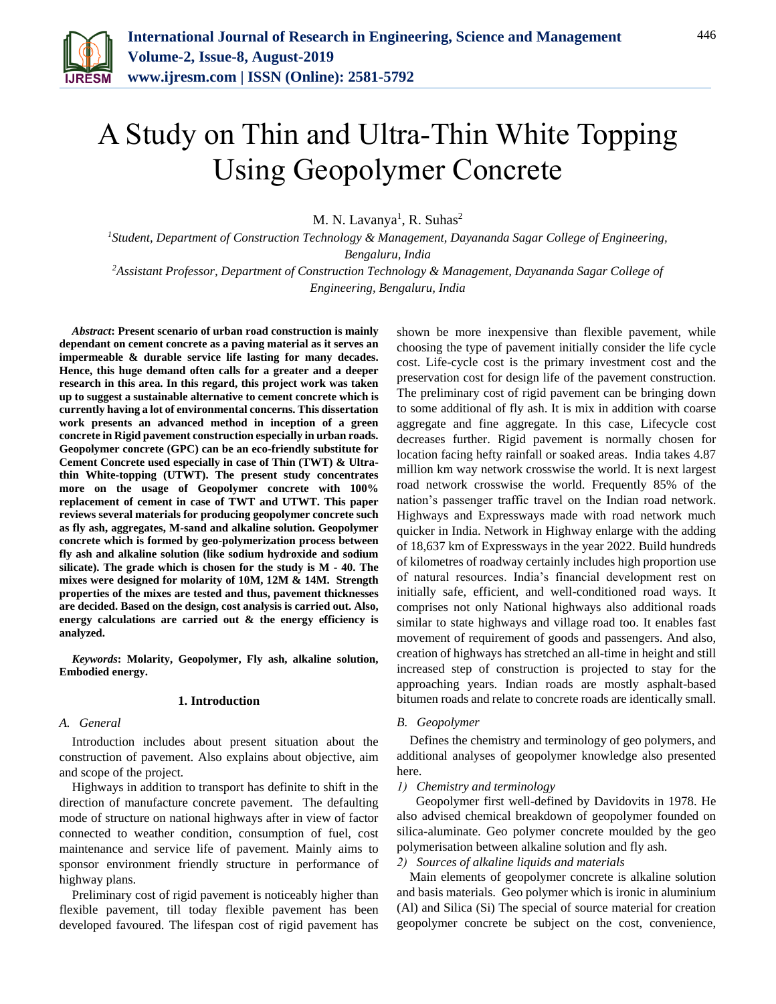

# A Study on Thin and Ultra-Thin White Topping Using Geopolymer Concrete

M. N. Lavanya<sup>1</sup>, R. Suhas<sup>2</sup>

*<sup>1</sup>Student, Department of Construction Technology & Management, Dayananda Sagar College of Engineering, Bengaluru, India*

*<sup>2</sup>Assistant Professor, Department of Construction Technology & Management, Dayananda Sagar College of Engineering, Bengaluru, India*

*Abstract***: Present scenario of urban road construction is mainly dependant on cement concrete as a paving material as it serves an impermeable & durable service life lasting for many decades. Hence, this huge demand often calls for a greater and a deeper research in this area. In this regard, this project work was taken up to suggest a sustainable alternative to cement concrete which is currently having a lot of environmental concerns. This dissertation work presents an advanced method in inception of a green concrete in Rigid pavement construction especially in urban roads. Geopolymer concrete (GPC) can be an eco-friendly substitute for Cement Concrete used especially in case of Thin (TWT) & Ultrathin White-topping (UTWT). The present study concentrates more on the usage of Geopolymer concrete with 100% replacement of cement in case of TWT and UTWT. This paper reviews several materials for producing geopolymer concrete such as fly ash, aggregates, M-sand and alkaline solution. Geopolymer concrete which is formed by geo-polymerization process between fly ash and alkaline solution (like sodium hydroxide and sodium silicate). The grade which is chosen for the study is M - 40. The mixes were designed for molarity of 10M, 12M & 14M. Strength properties of the mixes are tested and thus, pavement thicknesses are decided. Based on the design, cost analysis is carried out. Also, energy calculations are carried out & the energy efficiency is analyzed.**

*Keywords***: Molarity, Geopolymer, Fly ash, alkaline solution, Embodied energy.**

#### **1. Introduction**

## *A. General*

Introduction includes about present situation about the construction of pavement. Also explains about objective, aim and scope of the project.

Highways in addition to transport has definite to shift in the direction of manufacture concrete pavement. The defaulting mode of structure on national highways after in view of factor connected to weather condition, consumption of fuel, cost maintenance and service life of pavement. Mainly aims to sponsor environment friendly structure in performance of highway plans.

Preliminary cost of rigid pavement is noticeably higher than flexible pavement, till today flexible pavement has been developed favoured. The lifespan cost of rigid pavement has

shown be more inexpensive than flexible pavement, while choosing the type of pavement initially consider the life cycle cost. Life-cycle cost is the primary investment cost and the preservation cost for design life of the pavement construction. The preliminary cost of rigid pavement can be bringing down to some additional of fly ash. It is mix in addition with coarse aggregate and fine aggregate. In this case, Lifecycle cost decreases further. Rigid pavement is normally chosen for location facing hefty rainfall or soaked areas. India takes 4.87 million km way network crosswise the world. It is next largest road network crosswise the world. Frequently 85% of the nation's passenger traffic travel on the Indian road network. Highways and Expressways made with road network much quicker in India. Network in Highway enlarge with the adding of 18,637 km of Expressways in the year 2022. Build hundreds of kilometres of roadway certainly includes high proportion use of natural resources. India's financial development rest on initially safe, efficient, and well-conditioned road ways. It comprises not only National highways also additional roads similar to state highways and village road too. It enables fast movement of requirement of goods and passengers. And also, creation of highways has stretched an all-time in height and still increased step of construction is projected to stay for the approaching years. Indian roads are mostly asphalt-based bitumen roads and relate to concrete roads are identically small.

#### *B. Geopolymer*

Defines the chemistry and terminology of geo polymers, and additional analyses of geopolymer knowledge also presented here.

#### *1) Chemistry and terminology*

 Geopolymer first well-defined by Davidovits in 1978. He also advised chemical breakdown of geopolymer founded on silica-aluminate. Geo polymer concrete moulded by the geo polymerisation between alkaline solution and fly ash.

*2) Sources of alkaline liquids and materials* 

Main elements of geopolymer concrete is alkaline solution and basis materials. Geo polymer which is ironic in aluminium (Al) and Silica (Si) The special of source material for creation geopolymer concrete be subject on the cost, convenience,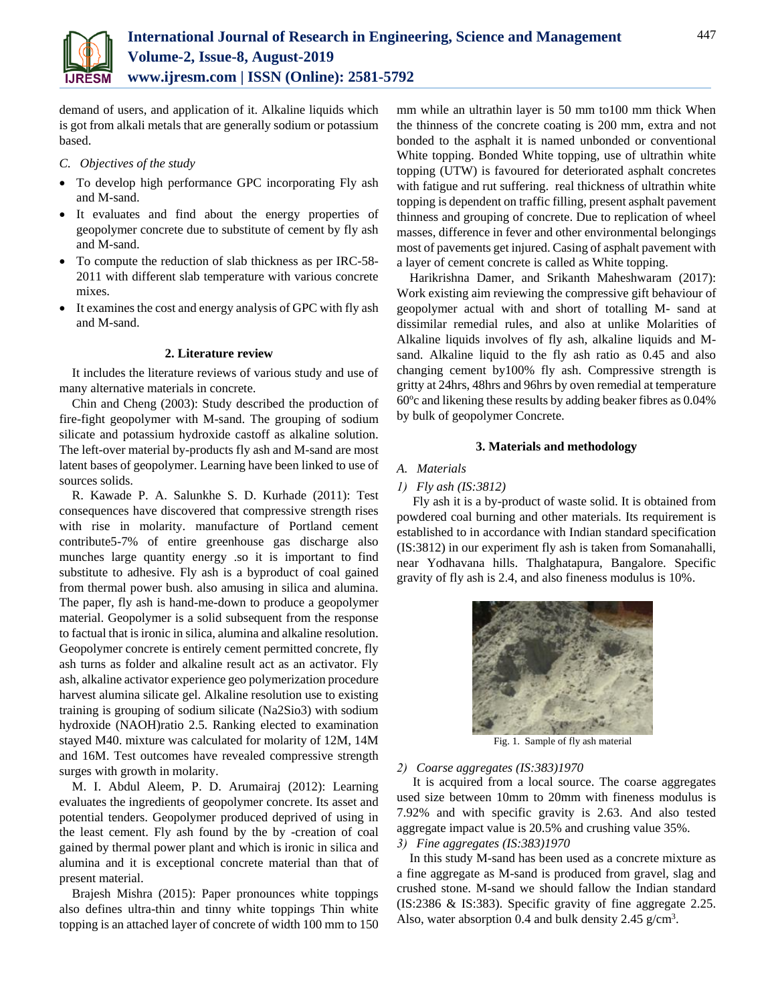

demand of users, and application of it. Alkaline liquids which is got from alkali metals that are generally sodium or potassium based.

#### *C. Objectives of the study*

- To develop high performance GPC incorporating Fly ash and M-sand.
- It evaluates and find about the energy properties of geopolymer concrete due to substitute of cement by fly ash and M-sand.
- To compute the reduction of slab thickness as per IRC-58- 2011 with different slab temperature with various concrete mixes.
- It examines the cost and energy analysis of GPC with fly ash and M-sand.

#### **2. Literature review**

It includes the literature reviews of various study and use of many alternative materials in concrete.

Chin and Cheng (2003): Study described the production of fire-fight geopolymer with M-sand. The grouping of sodium silicate and potassium hydroxide castoff as alkaline solution. The left-over material by-products fly ash and M-sand are most latent bases of geopolymer. Learning have been linked to use of sources solids.

R. Kawade P. A. Salunkhe S. D. Kurhade (2011): Test consequences have discovered that compressive strength rises with rise in molarity. manufacture of Portland cement contribute5-7% of entire greenhouse gas discharge also munches large quantity energy .so it is important to find substitute to adhesive. Fly ash is a byproduct of coal gained from thermal power bush. also amusing in silica and alumina. The paper, fly ash is hand-me-down to produce a geopolymer material. Geopolymer is a solid subsequent from the response to factual that is ironic in silica, alumina and alkaline resolution. Geopolymer concrete is entirely cement permitted concrete, fly ash turns as folder and alkaline result act as an activator. Fly ash, alkaline activator experience geo polymerization procedure harvest alumina silicate gel. Alkaline resolution use to existing training is grouping of sodium silicate (Na2Sio3) with sodium hydroxide (NAOH)ratio 2.5. Ranking elected to examination stayed M40. mixture was calculated for molarity of 12M, 14M and 16M. Test outcomes have revealed compressive strength surges with growth in molarity.

M. I. Abdul Aleem, P. D. Arumairaj (2012): Learning evaluates the ingredients of geopolymer concrete. Its asset and potential tenders. Geopolymer produced deprived of using in the least cement. Fly ash found by the by -creation of coal gained by thermal power plant and which is ironic in silica and alumina and it is exceptional concrete material than that of present material.

Brajesh Mishra (2015): Paper pronounces white toppings also defines ultra-thin and tinny white toppings Thin white topping is an attached layer of concrete of width 100 mm to 150

mm while an ultrathin layer is 50 mm to100 mm thick When the thinness of the concrete coating is 200 mm, extra and not bonded to the asphalt it is named unbonded or conventional White topping. Bonded White topping, use of ultrathin white topping (UTW) is favoured for deteriorated asphalt concretes with fatigue and rut suffering. real thickness of ultrathin white topping is dependent on traffic filling, present asphalt pavement thinness and grouping of concrete. Due to replication of wheel masses, difference in fever and other environmental belongings most of pavements get injured. Casing of asphalt pavement with a layer of cement concrete is called as White topping.

Harikrishna Damer, and Srikanth Maheshwaram (2017): Work existing aim reviewing the compressive gift behaviour of geopolymer actual with and short of totalling M- sand at dissimilar remedial rules, and also at unlike Molarities of Alkaline liquids involves of fly ash, alkaline liquids and Msand. Alkaline liquid to the fly ash ratio as 0.45 and also changing cement by100% fly ash. Compressive strength is gritty at 24hrs, 48hrs and 96hrs by oven remedial at temperature 60ºc and likening these results by adding beaker fibres as 0.04% by bulk of geopolymer Concrete.

#### **3. Materials and methodology**

#### *A. Materials*

#### *1) Fly ash (IS:3812)*

Fly ash it is a by-product of waste solid. It is obtained from powdered coal burning and other materials. Its requirement is established to in accordance with Indian standard specification (IS:3812) in our experiment fly ash is taken from Somanahalli, near Yodhavana hills. Thalghatapura, Bangalore. Specific gravity of fly ash is 2.4, and also fineness modulus is 10%.



Fig. 1. Sample of fly ash material

#### *2) Coarse aggregates (IS:383)1970*

It is acquired from a local source. The coarse aggregates used size between 10mm to 20mm with fineness modulus is 7.92% and with specific gravity is 2.63. And also tested aggregate impact value is 20.5% and crushing value 35%.

### *3) Fine aggregates (IS:383)1970*

In this study M-sand has been used as a concrete mixture as a fine aggregate as M-sand is produced from gravel, slag and crushed stone. M-sand we should fallow the Indian standard (IS:2386 & IS:383). Specific gravity of fine aggregate 2.25. Also, water absorption 0.4 and bulk density 2.45  $g/cm<sup>3</sup>$ .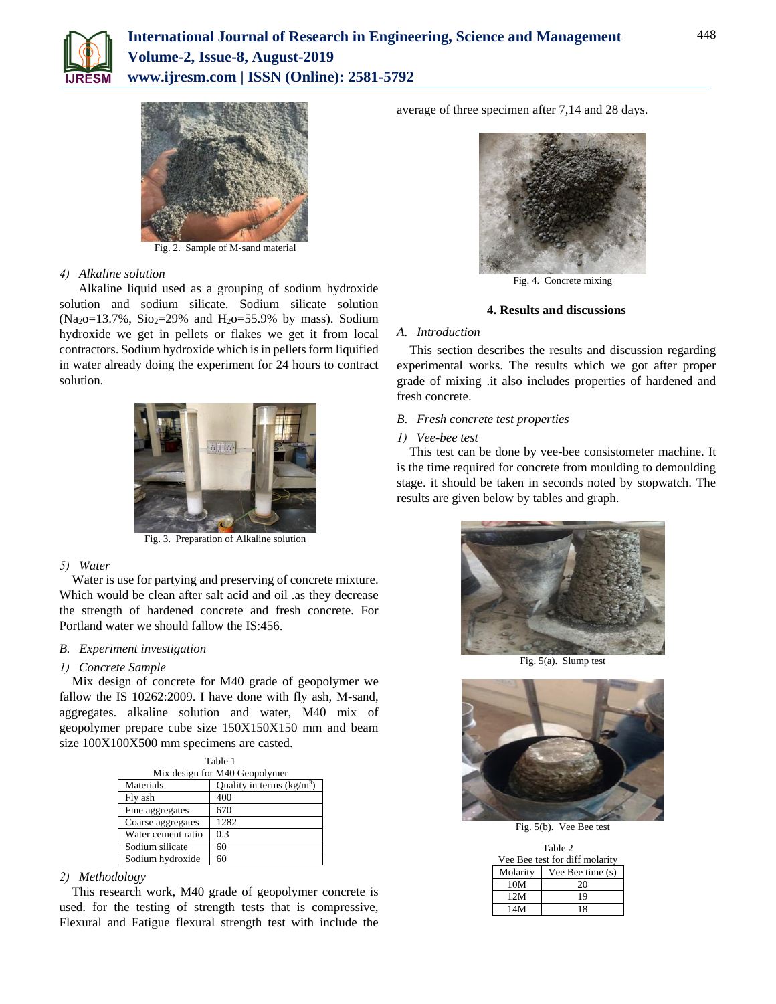



Fig. 2. Sample of M-sand material

#### *4) Alkaline solution*

 Alkaline liquid used as a grouping of sodium hydroxide solution and sodium silicate. Sodium silicate solution (Na<sub>2</sub>o=13.7%, Sio<sub>2</sub>=29% and H<sub>2</sub>o=55.9% by mass). Sodium hydroxide we get in pellets or flakes we get it from local contractors. Sodium hydroxide which is in pellets form liquified in water already doing the experiment for 24 hours to contract solution.



Fig. 3. Preparation of Alkaline solution

#### *5) Water*

Water is use for partying and preserving of concrete mixture. Which would be clean after salt acid and oil .as they decrease the strength of hardened concrete and fresh concrete. For Portland water we should fallow the IS:456.

#### *B. Experiment investigation*

#### *1) Concrete Sample*

Mix design of concrete for M40 grade of geopolymer we fallow the IS 10262:2009. I have done with fly ash, M-sand, aggregates. alkaline solution and water, M40 mix of geopolymer prepare cube size 150X150X150 mm and beam size 100X100X500 mm specimens are casted.

| Table 1<br>Mix design for M40 Geopolymer |      |  |  |  |
|------------------------------------------|------|--|--|--|
| Quality in terms $(kg/m3)$<br>Materials  |      |  |  |  |
| Fly ash                                  | 400  |  |  |  |
| Fine aggregates                          | 670  |  |  |  |
| Coarse aggregates                        | 1282 |  |  |  |
| Water cement ratio                       | 0.3  |  |  |  |
| Sodium silicate                          | 60   |  |  |  |
| Sodium hydroxide                         | 60   |  |  |  |

## *2) Methodology*

This research work, M40 grade of geopolymer concrete is used. for the testing of strength tests that is compressive, Flexural and Fatigue flexural strength test with include the average of three specimen after 7,14 and 28 days.



Fig. 4. Concrete mixing

#### **4. Results and discussions**

# *A. Introduction*

This section describes the results and discussion regarding experimental works. The results which we got after proper grade of mixing .it also includes properties of hardened and fresh concrete.

# *B. Fresh concrete test properties*

*1) Vee-bee test*

This test can be done by vee-bee consistometer machine. It is the time required for concrete from moulding to demoulding stage. it should be taken in seconds noted by stopwatch. The results are given below by tables and graph.



Fig. 5(a). Slump test



Fig. 5(b). Vee Bee test

|                                | Table 2          |  |  |  |
|--------------------------------|------------------|--|--|--|
| Vee Bee test for diff molarity |                  |  |  |  |
| Molarity                       | Vee Bee time (s) |  |  |  |
| 10M                            | 20               |  |  |  |
| 12M                            | 19               |  |  |  |
| 14M                            | 18               |  |  |  |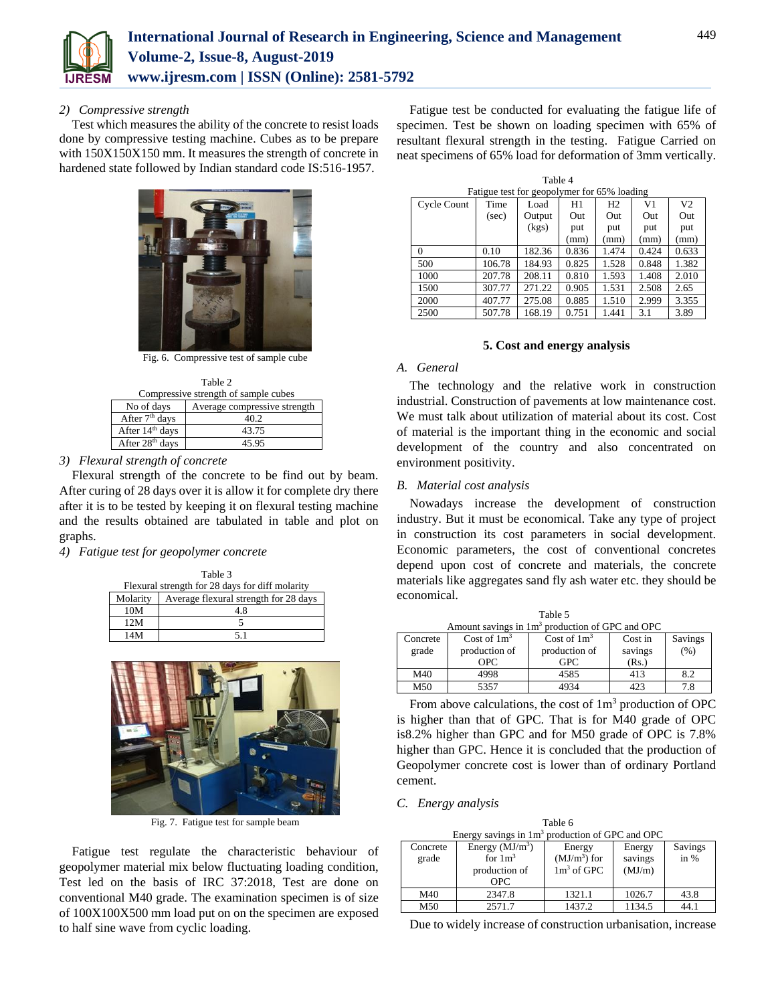

## *2) Compressive strength*

Test which measures the ability of the concrete to resist loads done by compressive testing machine. Cubes as to be prepare with 150X150X150 mm. It measures the strength of concrete in hardened state followed by Indian standard code IS:516-1957.



Fig. 6. Compressive test of sample cube

| Table 2                                    |       |  |  |  |
|--------------------------------------------|-------|--|--|--|
| Compressive strength of sample cubes       |       |  |  |  |
| Average compressive strength<br>No of days |       |  |  |  |
| After 7 <sup>th</sup> days                 | 40.2  |  |  |  |
| After 14 <sup>th</sup> days                | 43.75 |  |  |  |
| After 28 <sup>th</sup> days                | 45.95 |  |  |  |

# *3) Flexural strength of concrete*

Flexural strength of the concrete to be find out by beam. After curing of 28 days over it is allow it for complete dry there after it is to be tested by keeping it on flexural testing machine and the results obtained are tabulated in table and plot on graphs.

*4) Fatigue test for geopolymer concrete*

| Table 3                                         |                                       |  |  |  |
|-------------------------------------------------|---------------------------------------|--|--|--|
| Flexural strength for 28 days for diff molarity |                                       |  |  |  |
| Molarity                                        | Average flexural strength for 28 days |  |  |  |
| 10M                                             | 48                                    |  |  |  |
| 12M                                             |                                       |  |  |  |
| 14M                                             | 51                                    |  |  |  |



Fig. 7. Fatigue test for sample beam

Fatigue test regulate the characteristic behaviour of geopolymer material mix below fluctuating loading condition, Test led on the basis of IRC 37:2018, Test are done on conventional M40 grade. The examination specimen is of size of 100X100X500 mm load put on on the specimen are exposed to half sine wave from cyclic loading.

Fatigue test be conducted for evaluating the fatigue life of specimen. Test be shown on loading specimen with 65% of resultant flexural strength in the testing. Fatigue Carried on neat specimens of 65% load for deformation of 3mm vertically.

| Table 4                                     |        |        |       |                |       |       |  |
|---------------------------------------------|--------|--------|-------|----------------|-------|-------|--|
| Fatigue test for geopolymer for 65% loading |        |        |       |                |       |       |  |
| Cycle Count                                 | Time   | Load   | H1    | H <sub>2</sub> | V1    | V2    |  |
|                                             | (sec)  | Output | Out   | Out            | Out   | Out   |  |
|                                             |        | (kgs)  | put   | put            | put   | put   |  |
|                                             |        |        | (mm)  | (mm)           | (mm)  | (mm)  |  |
| $\Omega$                                    | 0.10   | 182.36 | 0.836 | 1.474          | 0.424 | 0.633 |  |
| 500                                         | 106.78 | 184.93 | 0.825 | 1.528          | 0.848 | 1.382 |  |
| 1000                                        | 207.78 | 208.11 | 0.810 | 1.593          | 1.408 | 2.010 |  |
| 1500                                        | 307.77 | 271.22 | 0.905 | 1.531          | 2.508 | 2.65  |  |
| 2000                                        | 407.77 | 275.08 | 0.885 | 1.510          | 2.999 | 3.355 |  |
| 2500                                        | 507.78 | 168.19 | 0.751 | 1.441          | 3.1   | 3.89  |  |

#### **5. Cost and energy analysis**

#### *A. General*

The technology and the relative work in construction industrial. Construction of pavements at low maintenance cost. We must talk about utilization of material about its cost. Cost of material is the important thing in the economic and social development of the country and also concentrated on environment positivity.

#### *B. Material cost analysis*

Nowadays increase the development of construction industry. But it must be economical. Take any type of project in construction its cost parameters in social development. Economic parameters, the cost of conventional concretes depend upon cost of concrete and materials, the concrete materials like aggregates sand fly ash water etc. they should be economical.

| $1$ and $\sigma$ .                                          |                |                |         |         |  |  |  |
|-------------------------------------------------------------|----------------|----------------|---------|---------|--|--|--|
| Amount savings in 1m <sup>3</sup> production of GPC and OPC |                |                |         |         |  |  |  |
| Concrete                                                    | Cost of $1m^3$ | Cost of $1m^3$ | Cost in | Savings |  |  |  |
| grade                                                       | production of  | production of  | savings | (%)     |  |  |  |
|                                                             | <b>OPC</b>     | <b>GPC</b>     | (Rs.)   |         |  |  |  |
| M40                                                         | 4998           | 4585           | 413     | 8.2     |  |  |  |
| M50                                                         | 5357           | 4934           | 423     | 7.8     |  |  |  |

 $Table 5$ 

From above calculations, the cost of  $1m<sup>3</sup>$  production of OPC is higher than that of GPC. That is for M40 grade of OPC is8.2% higher than GPC and for M50 grade of OPC is 7.8% higher than GPC. Hence it is concluded that the production of Geopolymer concrete cost is lower than of ordinary Portland cement.

#### *C. Energy analysis*

| Table 6                                           |                  |               |         |         |  |  |  |
|---------------------------------------------------|------------------|---------------|---------|---------|--|--|--|
| Energy savings in $1m3$ production of GPC and OPC |                  |               |         |         |  |  |  |
| Concrete                                          | Energy $(MJ/m3)$ | Energy        | Energy  | Savings |  |  |  |
| grade                                             | for $1m^3$       | $(MJ/m3)$ for | savings | in %    |  |  |  |
|                                                   | production of    | $1m3$ of GPC  | (MJ/m)  |         |  |  |  |
|                                                   | <b>OPC</b>       |               |         |         |  |  |  |
| M40                                               | 2347.8           | 1321.1        | 1026.7  | 43.8    |  |  |  |

| M50                                                           | 2571.7 | 1437.2 | 1134.5 | 44.1 |  |  |  |
|---------------------------------------------------------------|--------|--------|--------|------|--|--|--|
| Due to widely increase of construction urbanisation, increase |        |        |        |      |  |  |  |